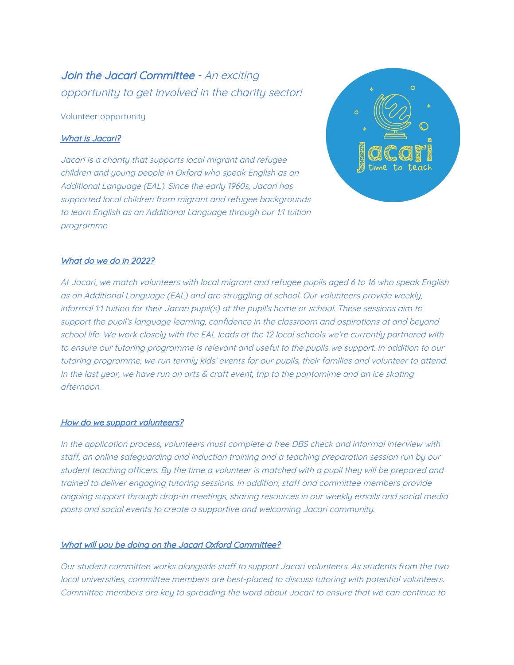# Join the Jacari Committee - An exciting opportunity to get involved in the charity sector!

Volunteer opportunity

# What is Jacari?

Jacari is <sup>a</sup> charity that supports local migrant and refugee children and young people in Oxford who speak English as an Additional Language (EAL). Since the early 1960s, Jacari has supported local children from migrant and refugee backgrounds to learn English as an Additional Language through our 1:1 tuition programme.



## What do we do in 2022?

At Jacari, we match volunteers with local migrant and refugee pupils aged 6 to 16 who speak English as an Additional Language (EAL) and are struggling at school. Our volunteers provide weekly, informal 1:1 tuition for their Jacari pupil(s) at the pupil's home or school. These sessions aim to support the pupil's language learning, confidence in the classroom and aspirations at and beyond school life. We work closely with the EAL leads at the 12 local schools we're currently partnered with to ensure our tutoring programme is relevant and useful to the pupils we support. In addition to our tutoring programme, we run termly kids' events for our pupils, their families and volunteer to attend. In the last year, we have run an arts & craft event, trip to the pantomime and an ice skating afternoon.

## How do we support volunteers?

In the application process, volunteers must complete <sup>a</sup> free DBS check and informal interview with staff, an online safeguarding and induction training and <sup>a</sup> teaching preparation session run by our student teaching officers. By the time <sup>a</sup> volunteer is matched with <sup>a</sup> pupil they will be prepared and trained to deliver engaging tutoring sessions. In addition, staff and committee members provide ongoing support through drop-in meetings, sharing resources in our weekly emails and social media posts and social events to create <sup>a</sup> supportive and welcoming Jacari community.

## What will you be doing on the Jacari Oxford Committee?

Our student committee works alongside staff to support Jacari volunteers. As students from the two local universities, committee members are best-placed to discuss tutoring with potential volunteers. Committee members are key to spreading the word about Jacari to ensure that we can continue to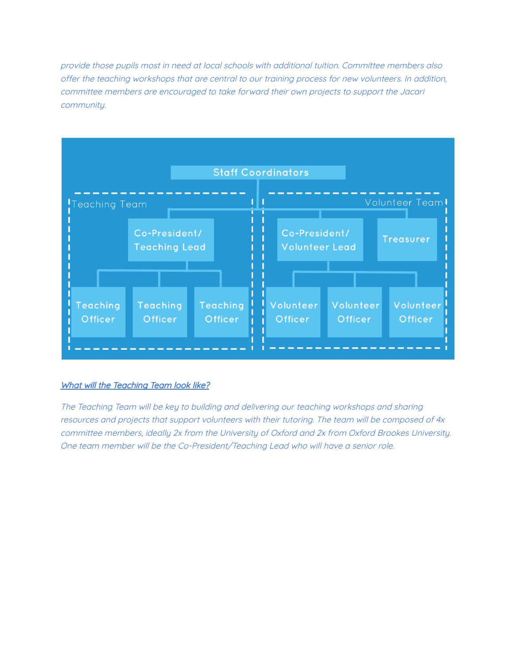provide those pupils most in need at local schools with additional tuition. Committee members also offer the teaching workshops that are central to our training process for new volunteers. In addition, committee members are encouraged to take forward their own projects to support the Jacari community.



## What will the Teaching Team look like?

The Teaching Team will be key to building and delivering our teaching workshops and sharing resources and projects that support volunteers with their tutoring. The team will be composed of 4x committee members, ideally 2x from the University of Oxford and 2x from Oxford Brookes University. One team member will be the Co-President/Teaching Lead who will have <sup>a</sup> senior role.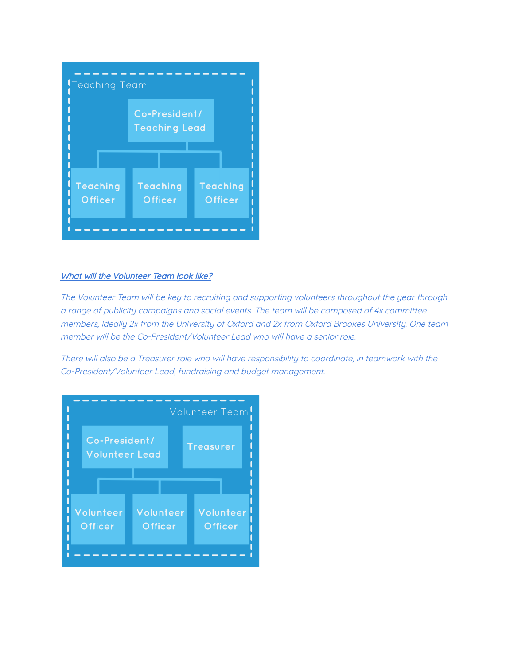

#### What will the Volunteer Team look like?

The Volunteer Team will be key to recruiting and supporting volunteers throughout the year through <sup>a</sup> range of publicity campaigns and social events. The team will be composed of 4x committee members, ideally 2x from the University of Oxford and 2x from Oxford Brookes University. One team member will be the Co-President/Volunteer Lead who will have <sup>a</sup> senior role.

There will also be <sup>a</sup> Treasurer role who will have responsibility to coordinate, in teamwork with the Co-President/Volunteer Lead, fundraising and budget management.